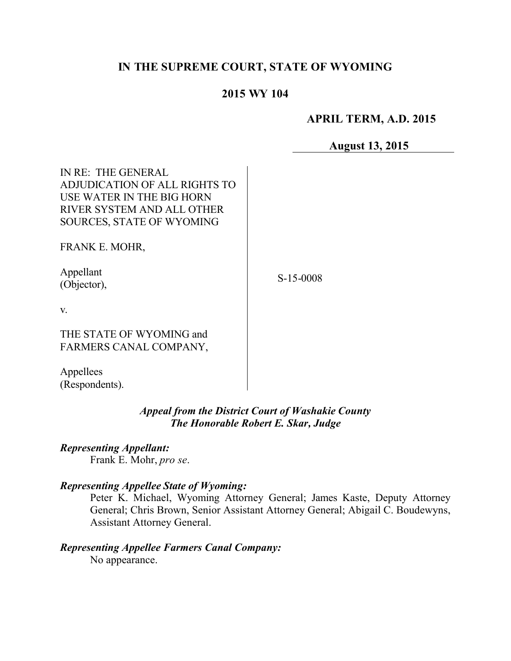# **IN THE SUPREME COURT, STATE OF WYOMING**

## **2015 WY 104**

## **APRIL TERM, A.D. 2015**

**August 13, 2015**

| IN RE: THE GENERAL<br>ADJUDICATION OF ALL RIGHTS TO<br>USE WATER IN THE BIG HORN<br>RIVER SYSTEM AND ALL OTHER<br><b>SOURCES, STATE OF WYOMING</b> |        |
|----------------------------------------------------------------------------------------------------------------------------------------------------|--------|
| FRANK E. MOHR,                                                                                                                                     |        |
| Appellant<br>(Objector),                                                                                                                           | S-15-0 |
| V.                                                                                                                                                 |        |
| THE STATE OF WYOMING and<br>FARMERS CANAL COMPANY,                                                                                                 |        |

Appellees (Respondents).

# *Appeal from the District Court of Washakie County The Honorable Robert E. Skar, Judge*

# *Representing Appellant:*

Frank E. Mohr, *pro se*.

#### *Representing Appellee State of Wyoming:*

Peter K. Michael, Wyoming Attorney General; James Kaste, Deputy Attorney General; Chris Brown, Senior Assistant Attorney General; Abigail C. Boudewyns, Assistant Attorney General.

# *Representing Appellee Farmers Canal Company:*

No appearance.

S-15-0008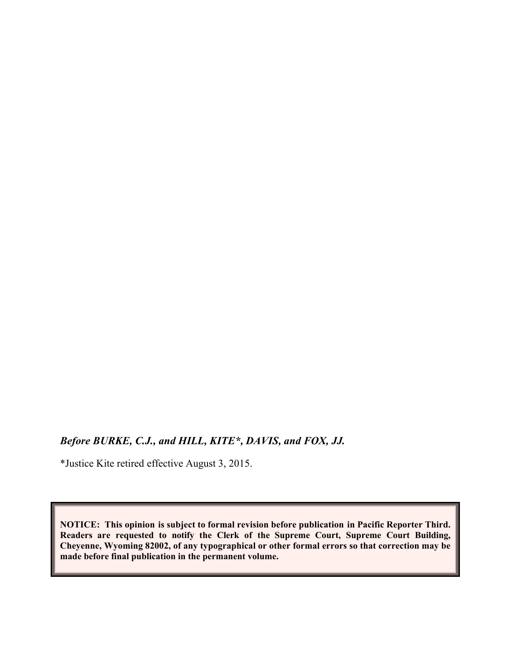# *Before BURKE, C.J., and HILL, KITE\*, DAVIS, and FOX, JJ.*

\*Justice Kite retired effective August 3, 2015.

**NOTICE: This opinion is subject to formal revision before publication in Pacific Reporter Third. Readers are requested to notify the Clerk of the Supreme Court, Supreme Court Building, Cheyenne, Wyoming 82002, of any typographical or other formal errors so that correction may be made before final publication in the permanent volume.**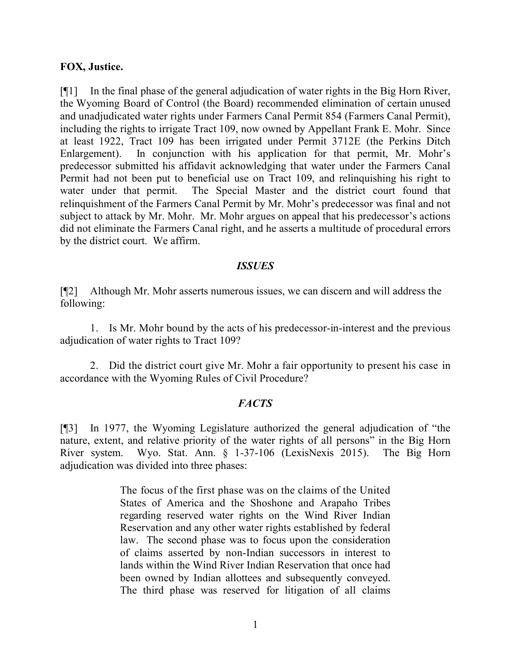#### **FOX, Justice.**

[¶1] In the final phase of the general adjudication of water rights in the Big Horn River, the Wyoming Board of Control (the Board) recommended elimination of certain unused and unadjudicated water rights under Farmers Canal Permit 854 (Farmers Canal Permit), including the rights to irrigate Tract 109, now owned by Appellant Frank E. Mohr. Since at least 1922, Tract 109 has been irrigated under Permit 3712E (the Perkins Ditch Enlargement). In conjunction with his application for that permit, Mr. Mohr's predecessor submitted his affidavit acknowledging that water under the Farmers Canal Permit had not been put to beneficial use on Tract 109, and relinquishing his right to water under that permit. The Special Master and the district court found that relinquishment of the Farmers Canal Permit by Mr. Mohr's predecessor was final and not subject to attack by Mr. Mohr. Mr. Mohr argues on appeal that his predecessor's actions did not eliminate the Farmers Canal right, and he asserts a multitude of procedural errors by the district court. We affirm.

### *ISSUES*

[¶2] Although Mr. Mohr asserts numerous issues, we can discern and will address the following:

1. Is Mr. Mohr bound by the acts of his predecessor-in-interest and the previous adjudication of water rights to Tract 109?

2. Did the district court give Mr. Mohr a fair opportunity to present his case in accordance with the Wyoming Rules of Civil Procedure?

# *FACTS*

[¶3] In 1977, the Wyoming Legislature authorized the general adjudication of "the nature, extent, and relative priority of the water rights of all persons" in the Big Horn River system. Wyo. Stat. Ann. § 1-37-106 (LexisNexis 2015). The Big Horn adjudication was divided into three phases:

> The focus of the first phase was on the claims of the United States of America and the Shoshone and Arapaho Tribes regarding reserved water rights on the Wind River Indian Reservation and any other water rights established by federal law. The second phase was to focus upon the consideration of claims asserted by non-Indian successors in interest to lands within the Wind River Indian Reservation that once had been owned by Indian allottees and subsequently conveyed. The third phase was reserved for litigation of all claims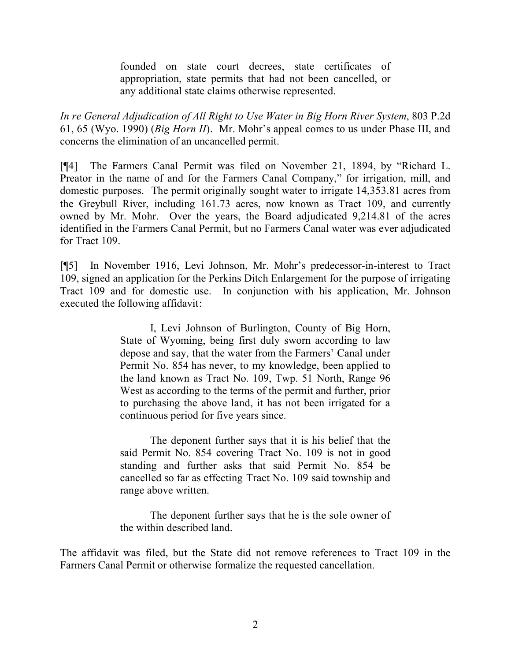founded on state court decrees, state certificates of appropriation, state permits that had not been cancelled, or any additional state claims otherwise represented.

*In re General Adjudication of All Right to Use Water in Big Horn River System*, 803 P.2d 61, 65 (Wyo. 1990) (*Big Horn II*). Mr. Mohr's appeal comes to us under Phase III, and concerns the elimination of an uncancelled permit.

[¶4] The Farmers Canal Permit was filed on November 21, 1894, by "Richard L. Preator in the name of and for the Farmers Canal Company," for irrigation, mill, and domestic purposes. The permit originally sought water to irrigate 14,353.81 acres from the Greybull River, including 161.73 acres, now known as Tract 109, and currently owned by Mr. Mohr. Over the years, the Board adjudicated 9,214.81 of the acres identified in the Farmers Canal Permit, but no Farmers Canal water was ever adjudicated for Tract 109.

[¶5] In November 1916, Levi Johnson, Mr. Mohr's predecessor-in-interest to Tract 109, signed an application for the Perkins Ditch Enlargement for the purpose of irrigating Tract 109 and for domestic use. In conjunction with his application, Mr. Johnson executed the following affidavit:

> I, Levi Johnson of Burlington, County of Big Horn, State of Wyoming, being first duly sworn according to law depose and say, that the water from the Farmers' Canal under Permit No. 854 has never, to my knowledge, been applied to the land known as Tract No. 109, Twp. 51 North, Range 96 West as according to the terms of the permit and further, prior to purchasing the above land, it has not been irrigated for a continuous period for five years since.

> The deponent further says that it is his belief that the said Permit No. 854 covering Tract No. 109 is not in good standing and further asks that said Permit No. 854 be cancelled so far as effecting Tract No. 109 said township and range above written.

> The deponent further says that he is the sole owner of the within described land.

The affidavit was filed, but the State did not remove references to Tract 109 in the Farmers Canal Permit or otherwise formalize the requested cancellation.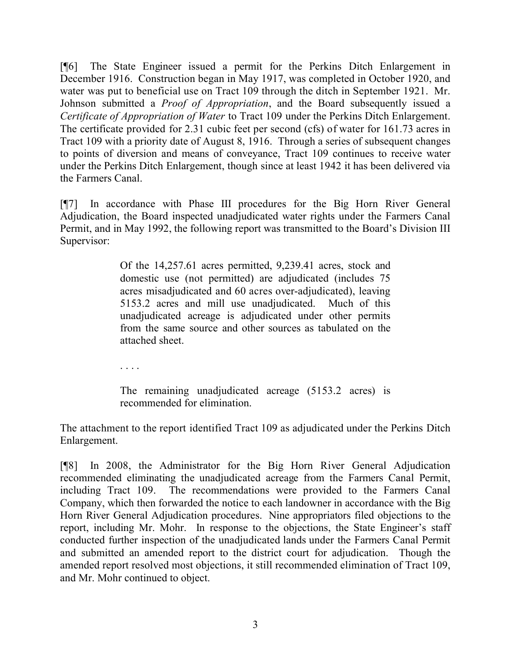[¶6] The State Engineer issued a permit for the Perkins Ditch Enlargement in December 1916. Construction began in May 1917, was completed in October 1920, and water was put to beneficial use on Tract 109 through the ditch in September 1921. Mr. Johnson submitted a *Proof of Appropriation*, and the Board subsequently issued a *Certificate of Appropriation of Water* to Tract 109 under the Perkins Ditch Enlargement. The certificate provided for 2.31 cubic feet per second (cfs) of water for 161.73 acres in Tract 109 with a priority date of August 8, 1916. Through a series of subsequent changes to points of diversion and means of conveyance, Tract 109 continues to receive water under the Perkins Ditch Enlargement, though since at least 1942 it has been delivered via the Farmers Canal.

[¶7] In accordance with Phase III procedures for the Big Horn River General Adjudication, the Board inspected unadjudicated water rights under the Farmers Canal Permit, and in May 1992, the following report was transmitted to the Board's Division III Supervisor:

> Of the 14,257.61 acres permitted, 9,239.41 acres, stock and domestic use (not permitted) are adjudicated (includes 75 acres misadjudicated and 60 acres over-adjudicated), leaving 5153.2 acres and mill use unadjudicated. Much of this unadjudicated acreage is adjudicated under other permits from the same source and other sources as tabulated on the attached sheet.

. . . .

The remaining unadjudicated acreage (5153.2 acres) is recommended for elimination.

The attachment to the report identified Tract 109 as adjudicated under the Perkins Ditch Enlargement.

[¶8] In 2008, the Administrator for the Big Horn River General Adjudication recommended eliminating the unadjudicated acreage from the Farmers Canal Permit, including Tract 109. The recommendations were provided to the Farmers Canal Company, which then forwarded the notice to each landowner in accordance with the Big Horn River General Adjudication procedures. Nine appropriators filed objections to the report, including Mr. Mohr. In response to the objections, the State Engineer's staff conducted further inspection of the unadjudicated lands under the Farmers Canal Permit and submitted an amended report to the district court for adjudication. Though the amended report resolved most objections, it still recommended elimination of Tract 109, and Mr. Mohr continued to object.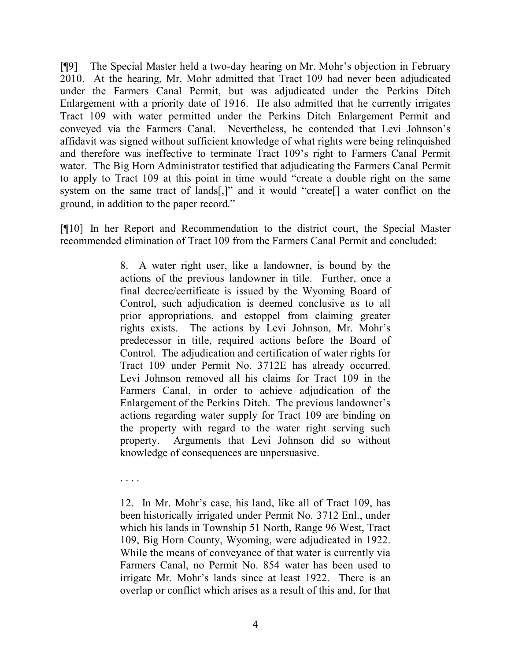[¶9] The Special Master held a two-day hearing on Mr. Mohr's objection in February 2010. At the hearing, Mr. Mohr admitted that Tract 109 had never been adjudicated under the Farmers Canal Permit, but was adjudicated under the Perkins Ditch Enlargement with a priority date of 1916. He also admitted that he currently irrigates Tract 109 with water permitted under the Perkins Ditch Enlargement Permit and conveyed via the Farmers Canal. Nevertheless, he contended that Levi Johnson's affidavit was signed without sufficient knowledge of what rights were being relinquished and therefore was ineffective to terminate Tract 109's right to Farmers Canal Permit water. The Big Horn Administrator testified that adjudicating the Farmers Canal Permit to apply to Tract 109 at this point in time would "create a double right on the same system on the same tract of lands[,]" and it would "create[] a water conflict on the ground, in addition to the paper record."

[¶10] In her Report and Recommendation to the district court, the Special Master recommended elimination of Tract 109 from the Farmers Canal Permit and concluded:

> 8. A water right user, like a landowner, is bound by the actions of the previous landowner in title. Further, once a final decree/certificate is issued by the Wyoming Board of Control, such adjudication is deemed conclusive as to all prior appropriations, and estoppel from claiming greater rights exists. The actions by Levi Johnson, Mr. Mohr's predecessor in title, required actions before the Board of Control. The adjudication and certification of water rights for Tract 109 under Permit No. 3712E has already occurred. Levi Johnson removed all his claims for Tract 109 in the Farmers Canal, in order to achieve adjudication of the Enlargement of the Perkins Ditch. The previous landowner's actions regarding water supply for Tract 109 are binding on the property with regard to the water right serving such property. Arguments that Levi Johnson did so without knowledge of consequences are unpersuasive.

. . . .

12. In Mr. Mohr's case, his land, like all of Tract 109, has been historically irrigated under Permit No. 3712 Enl., under which his lands in Township 51 North, Range 96 West, Tract 109, Big Horn County, Wyoming, were adjudicated in 1922. While the means of conveyance of that water is currently via Farmers Canal, no Permit No. 854 water has been used to irrigate Mr. Mohr's lands since at least 1922. There is an overlap or conflict which arises as a result of this and, for that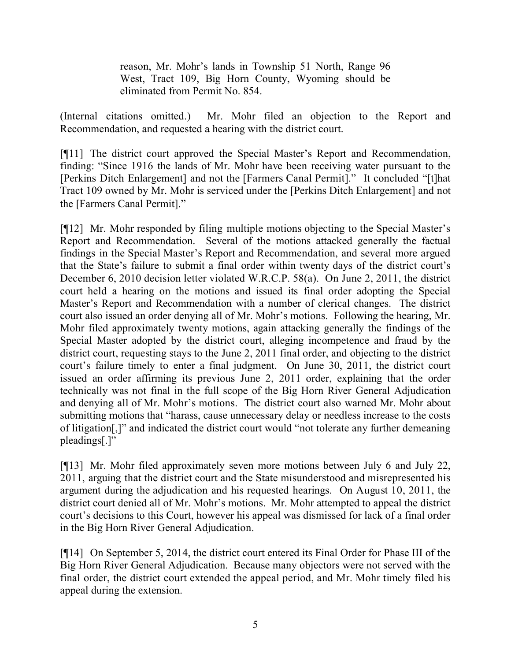reason, Mr. Mohr's lands in Township 51 North, Range 96 West, Tract 109, Big Horn County, Wyoming should be eliminated from Permit No. 854.

(Internal citations omitted.) Mr. Mohr filed an objection to the Report and Recommendation, and requested a hearing with the district court.

[¶11] The district court approved the Special Master's Report and Recommendation, finding: "Since 1916 the lands of Mr. Mohr have been receiving water pursuant to the [Perkins Ditch Enlargement] and not the [Farmers Canal Permit]." It concluded "[t]hat Tract 109 owned by Mr. Mohr is serviced under the [Perkins Ditch Enlargement] and not the [Farmers Canal Permit]."

[¶12] Mr. Mohr responded by filing multiple motions objecting to the Special Master's Report and Recommendation. Several of the motions attacked generally the factual findings in the Special Master's Report and Recommendation, and several more argued that the State's failure to submit a final order within twenty days of the district court's December 6, 2010 decision letter violated W.R.C.P. 58(a). On June 2, 2011, the district court held a hearing on the motions and issued its final order adopting the Special Master's Report and Recommendation with a number of clerical changes. The district court also issued an order denying all of Mr. Mohr's motions. Following the hearing, Mr. Mohr filed approximately twenty motions, again attacking generally the findings of the Special Master adopted by the district court, alleging incompetence and fraud by the district court, requesting stays to the June 2, 2011 final order, and objecting to the district court's failure timely to enter a final judgment. On June 30, 2011, the district court issued an order affirming its previous June 2, 2011 order, explaining that the order technically was not final in the full scope of the Big Horn River General Adjudication and denying all of Mr. Mohr's motions. The district court also warned Mr. Mohr about submitting motions that "harass, cause unnecessary delay or needless increase to the costs of litigation[,]" and indicated the district court would "not tolerate any further demeaning pleadings[.]"

[¶13] Mr. Mohr filed approximately seven more motions between July 6 and July 22, 2011, arguing that the district court and the State misunderstood and misrepresented his argument during the adjudication and his requested hearings. On August 10, 2011, the district court denied all of Mr. Mohr's motions. Mr. Mohr attempted to appeal the district court's decisions to this Court, however his appeal was dismissed for lack of a final order in the Big Horn River General Adjudication.

[¶14] On September 5, 2014, the district court entered its Final Order for Phase III of the Big Horn River General Adjudication. Because many objectors were not served with the final order, the district court extended the appeal period, and Mr. Mohr timely filed his appeal during the extension.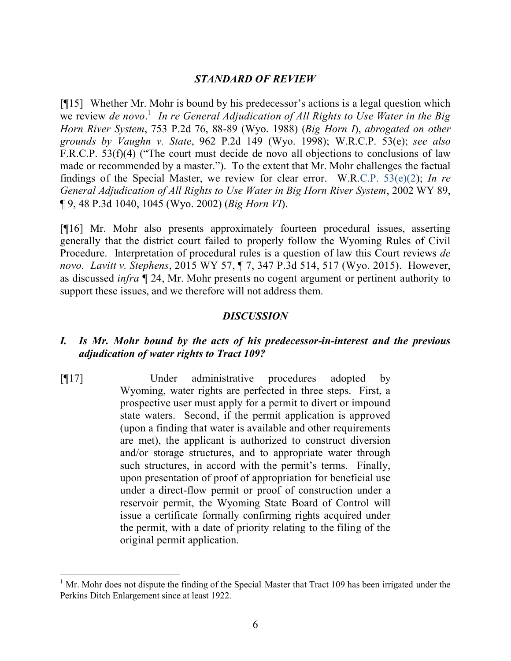#### *STANDARD OF REVIEW*

[¶15] Whether Mr. Mohr is bound by his predecessor's actions is a legal question which we review *de novo*. 1 *In re General Adjudication of All Rights to Use Water in the Big Horn River System*, 753 P.2d 76, 88-89 (Wyo. 1988) (*Big Horn I*), *abrogated on other grounds by Vaughn v. State*, 962 P.2d 149 (Wyo. 1998); W.R.C.P. 53(e); *see also* F.R.C.P. 53(f)(4) ("The court must decide de novo all objections to conclusions of law made or recommended by a master."). To the extent that Mr. Mohr challenges the factual findings of the Special Master, we review for clear error. W.R.C.P. 53(e)(2); *In re General Adjudication of All Rights to Use Water in Big Horn River System*, 2002 WY 89, ¶ 9, 48 P.3d 1040, 1045 (Wyo. 2002) (*Big Horn VI*).

[¶16] Mr. Mohr also presents approximately fourteen procedural issues, asserting generally that the district court failed to properly follow the Wyoming Rules of Civil Procedure. Interpretation of procedural rules is a question of law this Court reviews *de novo*. *Lavitt v. Stephens*, 2015 WY 57, ¶ 7, 347 P.3d 514, 517 (Wyo. 2015). However, as discussed *infra* ¶ 24, Mr. Mohr presents no cogent argument or pertinent authority to support these issues, and we therefore will not address them.

#### *DISCUSSION*

# *I. Is Mr. Mohr bound by the acts of his predecessor-in-interest and the previous adjudication of water rights to Tract 109?*

[¶17] Under administrative procedures adopted by Wyoming, water rights are perfected in three steps. First, a prospective user must apply for a permit to divert or impound state waters. Second, if the permit application is approved (upon a finding that water is available and other requirements are met), the applicant is authorized to construct diversion and/or storage structures, and to appropriate water through such structures, in accord with the permit's terms. Finally, upon presentation of proof of appropriation for beneficial use under a direct-flow permit or proof of construction under a reservoir permit, the Wyoming State Board of Control will issue a certificate formally confirming rights acquired under the permit, with a date of priority relating to the filing of the original permit application.

 $1$  Mr. Mohr does not dispute the finding of the Special Master that Tract 109 has been irrigated under the Perkins Ditch Enlargement since at least 1922.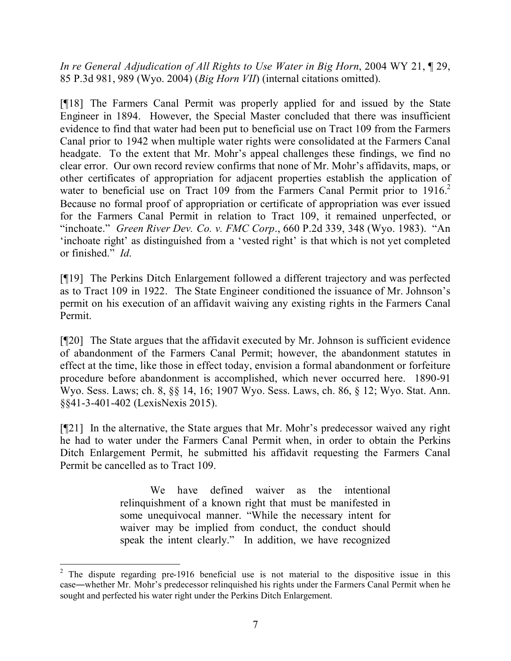*In re General Adjudication of All Rights to Use Water in Big Horn*, 2004 WY 21, ¶ 29, 85 P.3d 981, 989 (Wyo. 2004) (*Big Horn VII*) (internal citations omitted).

[¶18] The Farmers Canal Permit was properly applied for and issued by the State Engineer in 1894. However, the Special Master concluded that there was insufficient evidence to find that water had been put to beneficial use on Tract 109 from the Farmers Canal prior to 1942 when multiple water rights were consolidated at the Farmers Canal headgate. To the extent that Mr. Mohr's appeal challenges these findings, we find no clear error. Our own record review confirms that none of Mr. Mohr's affidavits, maps, or other certificates of appropriation for adjacent properties establish the application of water to beneficial use on Tract 109 from the Farmers Canal Permit prior to  $1916$ <sup>2</sup> Because no formal proof of appropriation or certificate of appropriation was ever issued for the Farmers Canal Permit in relation to Tract 109, it remained unperfected, or "inchoate." *Green River Dev. Co. v. FMC Corp*., 660 P.2d 339, 348 (Wyo. 1983). "An 'inchoate right' as distinguished from a 'vested right' is that which is not yet completed or finished." *Id*.

[¶19] The Perkins Ditch Enlargement followed a different trajectory and was perfected as to Tract 109 in 1922. The State Engineer conditioned the issuance of Mr. Johnson's permit on his execution of an affidavit waiving any existing rights in the Farmers Canal Permit.

[¶20] The State argues that the affidavit executed by Mr. Johnson is sufficient evidence of abandonment of the Farmers Canal Permit; however, the abandonment statutes in effect at the time, like those in effect today, envision a formal abandonment or forfeiture procedure before abandonment is accomplished, which never occurred here. 1890-91 Wyo. Sess. Laws; ch. 8, §§ 14, 16; 1907 Wyo. Sess. Laws, ch. 86, § 12; Wyo. Stat. Ann. §§41-3-401-402 (LexisNexis 2015).

[¶21] In the alternative, the State argues that Mr. Mohr's predecessor waived any right he had to water under the Farmers Canal Permit when, in order to obtain the Perkins Ditch Enlargement Permit, he submitted his affidavit requesting the Farmers Canal Permit be cancelled as to Tract 109.

> We have defined waiver as the intentional relinquishment of a known right that must be manifested in some unequivocal manner. "While the necessary intent for waiver may be implied from conduct, the conduct should speak the intent clearly." In addition, we have recognized

 <sup>2</sup> The dispute regarding pre-1916 beneficial use is not material to the dispositive issue in this case―whether Mr. Mohr's predecessor relinquished his rights under the Farmers Canal Permit when he sought and perfected his water right under the Perkins Ditch Enlargement.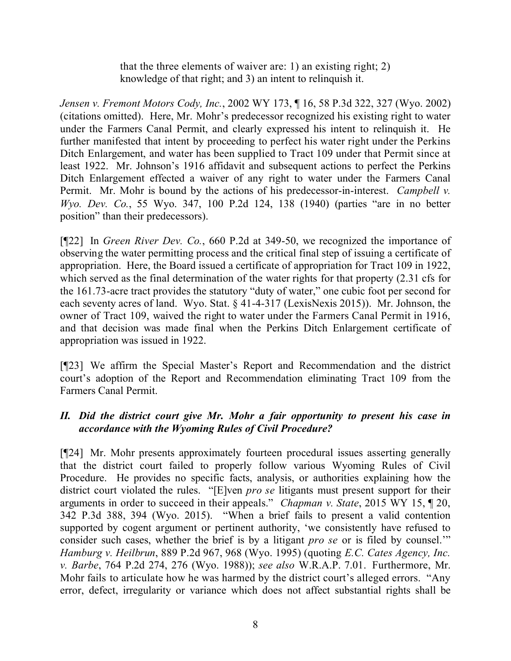that the three elements of waiver are: 1) an existing right; 2) knowledge of that right; and 3) an intent to relinquish it.

*Jensen v. Fremont Motors Cody, Inc.*, 2002 WY 173, ¶ 16, 58 P.3d 322, 327 (Wyo. 2002) (citations omitted). Here, Mr. Mohr's predecessor recognized his existing right to water under the Farmers Canal Permit, and clearly expressed his intent to relinquish it. He further manifested that intent by proceeding to perfect his water right under the Perkins Ditch Enlargement, and water has been supplied to Tract 109 under that Permit since at least 1922. Mr. Johnson's 1916 affidavit and subsequent actions to perfect the Perkins Ditch Enlargement effected a waiver of any right to water under the Farmers Canal Permit. Mr. Mohr is bound by the actions of his predecessor-in-interest. *Campbell v. Wyo. Dev. Co.*, 55 Wyo. 347, 100 P.2d 124, 138 (1940) (parties "are in no better position" than their predecessors).

[¶22] In *Green River Dev. Co.*, 660 P.2d at 349-50, we recognized the importance of observing the water permitting process and the critical final step of issuing a certificate of appropriation. Here, the Board issued a certificate of appropriation for Tract 109 in 1922, which served as the final determination of the water rights for that property (2.31 cfs for the 161.73-acre tract provides the statutory "duty of water," one cubic foot per second for each seventy acres of land. Wyo. Stat. § 41-4-317 (LexisNexis 2015)). Mr. Johnson, the owner of Tract 109, waived the right to water under the Farmers Canal Permit in 1916, and that decision was made final when the Perkins Ditch Enlargement certificate of appropriation was issued in 1922.

[¶23] We affirm the Special Master's Report and Recommendation and the district court's adoption of the Report and Recommendation eliminating Tract 109 from the Farmers Canal Permit.

# *II. Did the district court give Mr. Mohr a fair opportunity to present his case in accordance with the Wyoming Rules of Civil Procedure?*

[¶24] Mr. Mohr presents approximately fourteen procedural issues asserting generally that the district court failed to properly follow various Wyoming Rules of Civil Procedure. He provides no specific facts, analysis, or authorities explaining how the district court violated the rules. "[E]ven *pro se* litigants must present support for their arguments in order to succeed in their appeals." *Chapman v. State*, 2015 WY 15, ¶ 20, 342 P.3d 388, 394 (Wyo. 2015). "When a brief fails to present a valid contention supported by cogent argument or pertinent authority, 'we consistently have refused to consider such cases, whether the brief is by a litigant *pro se* or is filed by counsel.'" *Hamburg v. Heilbrun*, 889 P.2d 967, 968 (Wyo. 1995) (quoting *E.C. Cates Agency, Inc. v. Barbe*, 764 P.2d 274, 276 (Wyo. 1988)); *see also* W.R.A.P. 7.01. Furthermore, Mr. Mohr fails to articulate how he was harmed by the district court's alleged errors. "Any error, defect, irregularity or variance which does not affect substantial rights shall be